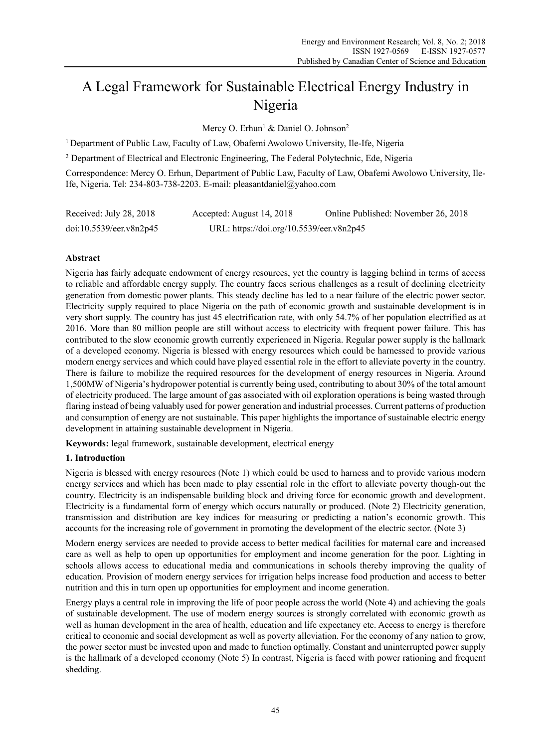# A Legal Framework for Sustainable Electrical Energy Industry in Nigeria

Mercy O. Erhun<sup>1</sup> & Daniel O. Johnson<sup>2</sup>

1 Department of Public Law, Faculty of Law, Obafemi Awolowo University, Ile-Ife, Nigeria

<sup>2</sup> Department of Electrical and Electronic Engineering, The Federal Polytechnic, Ede, Nigeria

Correspondence: Mercy O. Erhun, Department of Public Law, Faculty of Law, Obafemi Awolowo University, Ile-Ife, Nigeria. Tel: 234-803-738-2203. E-mail: pleasantdaniel@yahoo.com

| Received: July 28, 2018 | Accepted: August 14, 2018                | Online Published: November 26, 2018 |
|-------------------------|------------------------------------------|-------------------------------------|
| doi:10.5539/eer.v8n2p45 | URL: https://doi.org/10.5539/eer.v8n2p45 |                                     |

## **Abstract**

Nigeria has fairly adequate endowment of energy resources, yet the country is lagging behind in terms of access to reliable and affordable energy supply. The country faces serious challenges as a result of declining electricity generation from domestic power plants. This steady decline has led to a near failure of the electric power sector. Electricity supply required to place Nigeria on the path of economic growth and sustainable development is in very short supply. The country has just 45 electrification rate, with only 54.7% of her population electrified as at 2016. More than 80 million people are still without access to electricity with frequent power failure. This has contributed to the slow economic growth currently experienced in Nigeria. Regular power supply is the hallmark of a developed economy. Nigeria is blessed with energy resources which could be harnessed to provide various modern energy services and which could have played essential role in the effort to alleviate poverty in the country. There is failure to mobilize the required resources for the development of energy resources in Nigeria. Around 1,500MW of Nigeria's hydropower potential is currently being used, contributing to about 30% of the total amount of electricity produced. The large amount of gas associated with oil exploration operations is being wasted through flaring instead of being valuably used for power generation and industrial processes. Current patterns of production and consumption of energy are not sustainable. This paper highlights the importance of sustainable electric energy development in attaining sustainable development in Nigeria.

**Keywords:** legal framework, sustainable development, electrical energy

## **1. Introduction**

Nigeria is blessed with energy resources (Note 1) which could be used to harness and to provide various modern energy services and which has been made to play essential role in the effort to alleviate poverty though-out the country. Electricity is an indispensable building block and driving force for economic growth and development. Electricity is a fundamental form of energy which occurs naturally or produced. (Note 2) Electricity generation, transmission and distribution are key indices for measuring or predicting a nation's economic growth. This accounts for the increasing role of government in promoting the development of the electric sector. (Note 3)

Modern energy services are needed to provide access to better medical facilities for maternal care and increased care as well as help to open up opportunities for employment and income generation for the poor. Lighting in schools allows access to educational media and communications in schools thereby improving the quality of education. Provision of modern energy services for irrigation helps increase food production and access to better nutrition and this in turn open up opportunities for employment and income generation.

Energy plays a central role in improving the life of poor people across the world (Note 4) and achieving the goals of sustainable development. The use of modern energy sources is strongly correlated with economic growth as well as human development in the area of health, education and life expectancy etc. Access to energy is therefore critical to economic and social development as well as poverty alleviation. For the economy of any nation to grow, the power sector must be invested upon and made to function optimally. Constant and uninterrupted power supply is the hallmark of a developed economy (Note 5) In contrast, Nigeria is faced with power rationing and frequent shedding.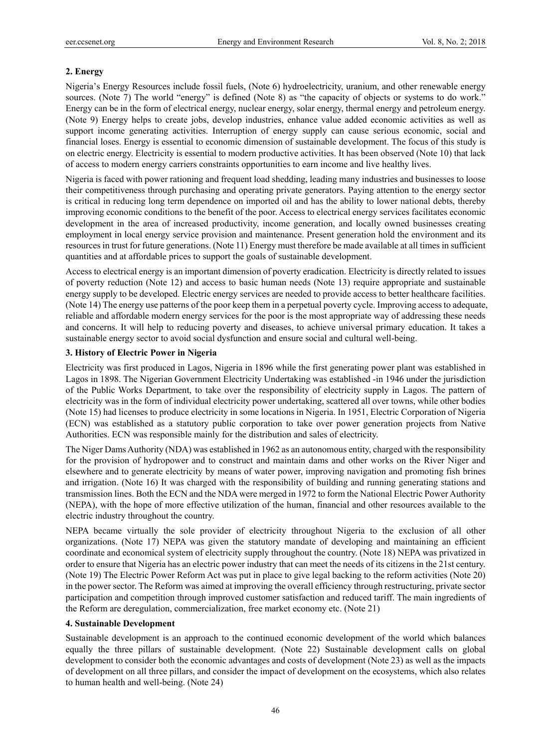#### **2. Energy**

Nigeria's Energy Resources include fossil fuels, (Note 6) hydroelectricity, uranium, and other renewable energy sources. (Note 7) The world "energy" is defined (Note 8) as "the capacity of objects or systems to do work." Energy can be in the form of electrical energy, nuclear energy, solar energy, thermal energy and petroleum energy. (Note 9) Energy helps to create jobs, develop industries, enhance value added economic activities as well as support income generating activities. Interruption of energy supply can cause serious economic, social and financial loses. Energy is essential to economic dimension of sustainable development. The focus of this study is on electric energy. Electricity is essential to modern productive activities. It has been observed (Note 10) that lack of access to modern energy carriers constraints opportunities to earn income and live healthy lives.

Nigeria is faced with power rationing and frequent load shedding, leading many industries and businesses to loose their competitiveness through purchasing and operating private generators. Paying attention to the energy sector is critical in reducing long term dependence on imported oil and has the ability to lower national debts, thereby improving economic conditions to the benefit of the poor. Access to electrical energy services facilitates economic development in the area of increased productivity, income generation, and locally owned businesses creating employment in local energy service provision and maintenance. Present generation hold the environment and its resources in trust for future generations. (Note 11) Energy must therefore be made available at all times in sufficient quantities and at affordable prices to support the goals of sustainable development.

Access to electrical energy is an important dimension of poverty eradication. Electricity is directly related to issues of poverty reduction (Note 12) and access to basic human needs (Note 13) require appropriate and sustainable energy supply to be developed. Electric energy services are needed to provide access to better healthcare facilities. (Note 14) The energy use patterns of the poor keep them in a perpetual poverty cycle. Improving access to adequate, reliable and affordable modern energy services for the poor is the most appropriate way of addressing these needs and concerns. It will help to reducing poverty and diseases, to achieve universal primary education. It takes a sustainable energy sector to avoid social dysfunction and ensure social and cultural well-being.

#### **3. History of Electric Power in Nigeria**

Electricity was first produced in Lagos, Nigeria in 1896 while the first generating power plant was established in Lagos in 1898. The Nigerian Government Electricity Undertaking was established -in 1946 under the jurisdiction of the Public Works Department, to take over the responsibility of electricity supply in Lagos. The pattern of electricity was in the form of individual electricity power undertaking, scattered all over towns, while other bodies (Note 15) had licenses to produce electricity in some locations in Nigeria. In 1951, Electric Corporation of Nigeria (ECN) was established as a statutory public corporation to take over power generation projects from Native Authorities. ECN was responsible mainly for the distribution and sales of electricity.

The Niger Dams Authority (NDA) was established in 1962 as an autonomous entity, charged with the responsibility for the provision of hydropower and to construct and maintain dams and other works on the River Niger and elsewhere and to generate electricity by means of water power, improving navigation and promoting fish brines and irrigation. (Note 16) It was charged with the responsibility of building and running generating stations and transmission lines. Both the ECN and the NDA were merged in 1972 to form the National Electric Power Authority (NEPA), with the hope of more effective utilization of the human, financial and other resources available to the electric industry throughout the country.

NEPA became virtually the sole provider of electricity throughout Nigeria to the exclusion of all other organizations. (Note 17) NEPA was given the statutory mandate of developing and maintaining an efficient coordinate and economical system of electricity supply throughout the country. (Note 18) NEPA was privatized in order to ensure that Nigeria has an electric power industry that can meet the needs of its citizens in the 21st century. (Note 19) The Electric Power Reform Act was put in place to give legal backing to the reform activities (Note 20) in the power sector. The Reform was aimed at improving the overall efficiency through restructuring, private sector participation and competition through improved customer satisfaction and reduced tariff. The main ingredients of the Reform are deregulation, commercialization, free market economy etc. (Note 21)

#### **4. Sustainable Development**

Sustainable development is an approach to the continued economic development of the world which balances equally the three pillars of sustainable development. (Note 22) Sustainable development calls on global development to consider both the economic advantages and costs of development (Note 23) as well as the impacts of development on all three pillars, and consider the impact of development on the ecosystems, which also relates to human health and well-being. (Note 24)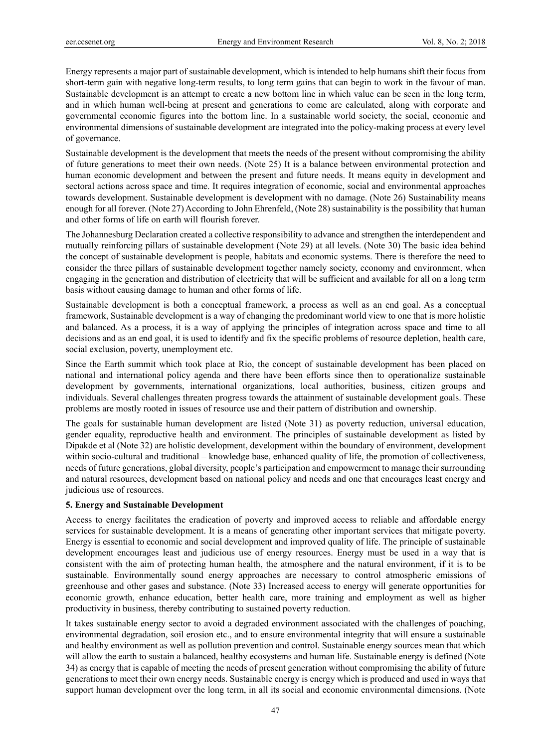Energy represents a major part of sustainable development, which is intended to help humans shift their focus from short-term gain with negative long-term results, to long term gains that can begin to work in the favour of man. Sustainable development is an attempt to create a new bottom line in which value can be seen in the long term, and in which human well-being at present and generations to come are calculated, along with corporate and governmental economic figures into the bottom line. In a sustainable world society, the social, economic and environmental dimensions of sustainable development are integrated into the policy-making process at every level of governance.

Sustainable development is the development that meets the needs of the present without compromising the ability of future generations to meet their own needs. (Note 25) It is a balance between environmental protection and human economic development and between the present and future needs. It means equity in development and sectoral actions across space and time. It requires integration of economic, social and environmental approaches towards development. Sustainable development is development with no damage. (Note 26) Sustainability means enough for all forever. (Note 27) According to John Ehrenfeld, (Note 28) sustainability is the possibility that human and other forms of life on earth will flourish forever.

The Johannesburg Declaration created a collective responsibility to advance and strengthen the interdependent and mutually reinforcing pillars of sustainable development (Note 29) at all levels. (Note 30) The basic idea behind the concept of sustainable development is people, habitats and economic systems. There is therefore the need to consider the three pillars of sustainable development together namely society, economy and environment, when engaging in the generation and distribution of electricity that will be sufficient and available for all on a long term basis without causing damage to human and other forms of life.

Sustainable development is both a conceptual framework, a process as well as an end goal. As a conceptual framework, Sustainable development is a way of changing the predominant world view to one that is more holistic and balanced. As a process, it is a way of applying the principles of integration across space and time to all decisions and as an end goal, it is used to identify and fix the specific problems of resource depletion, health care, social exclusion, poverty, unemployment etc.

Since the Earth summit which took place at Rio, the concept of sustainable development has been placed on national and international policy agenda and there have been efforts since then to operationalize sustainable development by governments, international organizations, local authorities, business, citizen groups and individuals. Several challenges threaten progress towards the attainment of sustainable development goals. These problems are mostly rooted in issues of resource use and their pattern of distribution and ownership.

The goals for sustainable human development are listed (Note 31) as poverty reduction, universal education, gender equality, reproductive health and environment. The principles of sustainable development as listed by Dipakde et al (Note 32) are holistic development, development within the boundary of environment, development within socio-cultural and traditional – knowledge base, enhanced quality of life, the promotion of collectiveness, needs of future generations, global diversity, people's participation and empowerment to manage their surrounding and natural resources, development based on national policy and needs and one that encourages least energy and judicious use of resources.

# **5. Energy and Sustainable Development**

Access to energy facilitates the eradication of poverty and improved access to reliable and affordable energy services for sustainable development. It is a means of generating other important services that mitigate poverty. Energy is essential to economic and social development and improved quality of life. The principle of sustainable development encourages least and judicious use of energy resources. Energy must be used in a way that is consistent with the aim of protecting human health, the atmosphere and the natural environment, if it is to be sustainable. Environmentally sound energy approaches are necessary to control atmospheric emissions of greenhouse and other gases and substance. (Note 33) Increased access to energy will generate opportunities for economic growth, enhance education, better health care, more training and employment as well as higher productivity in business, thereby contributing to sustained poverty reduction.

It takes sustainable energy sector to avoid a degraded environment associated with the challenges of poaching, environmental degradation, soil erosion etc., and to ensure environmental integrity that will ensure a sustainable and healthy environment as well as pollution prevention and control. Sustainable energy sources mean that which will allow the earth to sustain a balanced, healthy ecosystems and human life. Sustainable energy is defined (Note 34) as energy that is capable of meeting the needs of present generation without compromising the ability of future generations to meet their own energy needs. Sustainable energy is energy which is produced and used in ways that support human development over the long term, in all its social and economic environmental dimensions. (Note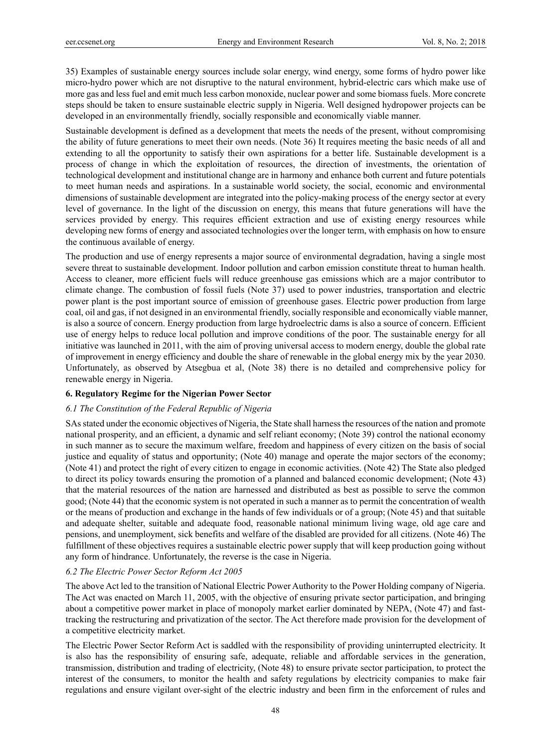35) Examples of sustainable energy sources include solar energy, wind energy, some forms of hydro power like micro-hydro power which are not disruptive to the natural environment, hybrid-electric cars which make use of more gas and less fuel and emit much less carbon monoxide, nuclear power and some biomass fuels. More concrete steps should be taken to ensure sustainable electric supply in Nigeria. Well designed hydropower projects can be developed in an environmentally friendly, socially responsible and economically viable manner.

Sustainable development is defined as a development that meets the needs of the present, without compromising the ability of future generations to meet their own needs. (Note 36) It requires meeting the basic needs of all and extending to all the opportunity to satisfy their own aspirations for a better life. Sustainable development is a process of change in which the exploitation of resources, the direction of investments, the orientation of technological development and institutional change are in harmony and enhance both current and future potentials to meet human needs and aspirations. In a sustainable world society, the social, economic and environmental dimensions of sustainable development are integrated into the policy-making process of the energy sector at every level of governance. In the light of the discussion on energy, this means that future generations will have the services provided by energy. This requires efficient extraction and use of existing energy resources while developing new forms of energy and associated technologies over the longer term, with emphasis on how to ensure the continuous available of energy.

The production and use of energy represents a major source of environmental degradation, having a single most severe threat to sustainable development. Indoor pollution and carbon emission constitute threat to human health. Access to cleaner, more efficient fuels will reduce greenhouse gas emissions which are a major contributor to climate change. The combustion of fossil fuels (Note 37) used to power industries, transportation and electric power plant is the post important source of emission of greenhouse gases. Electric power production from large coal, oil and gas, if not designed in an environmental friendly, socially responsible and economically viable manner, is also a source of concern. Energy production from large hydroelectric dams is also a source of concern. Efficient use of energy helps to reduce local pollution and improve conditions of the poor. The sustainable energy for all initiative was launched in 2011, with the aim of proving universal access to modern energy, double the global rate of improvement in energy efficiency and double the share of renewable in the global energy mix by the year 2030. Unfortunately, as observed by Atsegbua et al, (Note 38) there is no detailed and comprehensive policy for renewable energy in Nigeria.

## **6. Regulatory Regime for the Nigerian Power Sector**

# *6.1 The Constitution of the Federal Republic of Nigeria*

SAs stated under the economic objectives of Nigeria, the State shall harness the resources of the nation and promote national prosperity, and an efficient, a dynamic and self reliant economy; (Note 39) control the national economy in such manner as to secure the maximum welfare, freedom and happiness of every citizen on the basis of social justice and equality of status and opportunity; (Note 40) manage and operate the major sectors of the economy; (Note 41) and protect the right of every citizen to engage in economic activities. (Note 42) The State also pledged to direct its policy towards ensuring the promotion of a planned and balanced economic development; (Note 43) that the material resources of the nation are harnessed and distributed as best as possible to serve the common good; (Note 44) that the economic system is not operated in such a manner as to permit the concentration of wealth or the means of production and exchange in the hands of few individuals or of a group; (Note 45) and that suitable and adequate shelter, suitable and adequate food, reasonable national minimum living wage, old age care and pensions, and unemployment, sick benefits and welfare of the disabled are provided for all citizens. (Note 46) The fulfillment of these objectives requires a sustainable electric power supply that will keep production going without any form of hindrance. Unfortunately, the reverse is the case in Nigeria.

# *6.2 The Electric Power Sector Reform Act 2005*

The above Act led to the transition of National Electric Power Authority to the Power Holding company of Nigeria. The Act was enacted on March 11, 2005, with the objective of ensuring private sector participation, and bringing about a competitive power market in place of monopoly market earlier dominated by NEPA, (Note 47) and fasttracking the restructuring and privatization of the sector. The Act therefore made provision for the development of a competitive electricity market.

The Electric Power Sector Reform Act is saddled with the responsibility of providing uninterrupted electricity. It is also has the responsibility of ensuring safe, adequate, reliable and affordable services in the generation, transmission, distribution and trading of electricity, (Note 48) to ensure private sector participation, to protect the interest of the consumers, to monitor the health and safety regulations by electricity companies to make fair regulations and ensure vigilant over-sight of the electric industry and been firm in the enforcement of rules and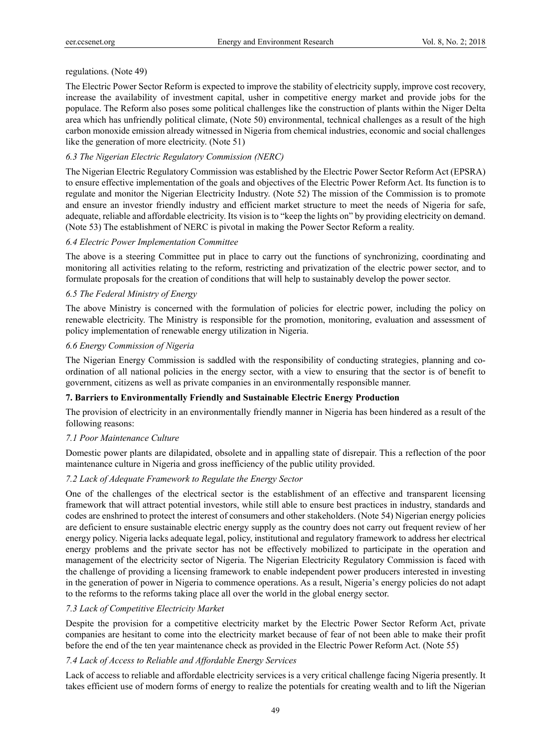## regulations. (Note 49)

The Electric Power Sector Reform is expected to improve the stability of electricity supply, improve cost recovery, increase the availability of investment capital, usher in competitive energy market and provide jobs for the populace. The Reform also poses some political challenges like the construction of plants within the Niger Delta area which has unfriendly political climate, (Note 50) environmental, technical challenges as a result of the high carbon monoxide emission already witnessed in Nigeria from chemical industries, economic and social challenges like the generation of more electricity. (Note 51)

## *6.3 The Nigerian Electric Regulatory Commission (NERC)*

The Nigerian Electric Regulatory Commission was established by the Electric Power Sector Reform Act (EPSRA) to ensure effective implementation of the goals and objectives of the Electric Power Reform Act. Its function is to regulate and monitor the Nigerian Electricity Industry. (Note 52) The mission of the Commission is to promote and ensure an investor friendly industry and efficient market structure to meet the needs of Nigeria for safe, adequate, reliable and affordable electricity. Its vision is to "keep the lights on" by providing electricity on demand. (Note 53) The establishment of NERC is pivotal in making the Power Sector Reform a reality.

## *6.4 Electric Power Implementation Committee*

The above is a steering Committee put in place to carry out the functions of synchronizing, coordinating and monitoring all activities relating to the reform, restricting and privatization of the electric power sector, and to formulate proposals for the creation of conditions that will help to sustainably develop the power sector.

## *6.5 The Federal Ministry of Energy*

The above Ministry is concerned with the formulation of policies for electric power, including the policy on renewable electricity. The Ministry is responsible for the promotion, monitoring, evaluation and assessment of policy implementation of renewable energy utilization in Nigeria.

## *6.6 Energy Commission of Nigeria*

The Nigerian Energy Commission is saddled with the responsibility of conducting strategies, planning and coordination of all national policies in the energy sector, with a view to ensuring that the sector is of benefit to government, citizens as well as private companies in an environmentally responsible manner.

## **7. Barriers to Environmentally Friendly and Sustainable Electric Energy Production**

The provision of electricity in an environmentally friendly manner in Nigeria has been hindered as a result of the following reasons:

## *7.1 Poor Maintenance Culture*

Domestic power plants are dilapidated, obsolete and in appalling state of disrepair. This a reflection of the poor maintenance culture in Nigeria and gross inefficiency of the public utility provided.

## *7.2 Lack of Adequate Framework to Regulate the Energy Sector*

One of the challenges of the electrical sector is the establishment of an effective and transparent licensing framework that will attract potential investors, while still able to ensure best practices in industry, standards and codes are enshrined to protect the interest of consumers and other stakeholders. (Note 54) Nigerian energy policies are deficient to ensure sustainable electric energy supply as the country does not carry out frequent review of her energy policy. Nigeria lacks adequate legal, policy, institutional and regulatory framework to address her electrical energy problems and the private sector has not be effectively mobilized to participate in the operation and management of the electricity sector of Nigeria. The Nigerian Electricity Regulatory Commission is faced with the challenge of providing a licensing framework to enable independent power producers interested in investing in the generation of power in Nigeria to commence operations. As a result, Nigeria's energy policies do not adapt to the reforms to the reforms taking place all over the world in the global energy sector.

## *7.3 Lack of Competitive Electricity Market*

Despite the provision for a competitive electricity market by the Electric Power Sector Reform Act, private companies are hesitant to come into the electricity market because of fear of not been able to make their profit before the end of the ten year maintenance check as provided in the Electric Power Reform Act. (Note 55)

## *7.4 Lack of Access to Reliable and Affordable Energy Services*

Lack of access to reliable and affordable electricity services is a very critical challenge facing Nigeria presently. It takes efficient use of modern forms of energy to realize the potentials for creating wealth and to lift the Nigerian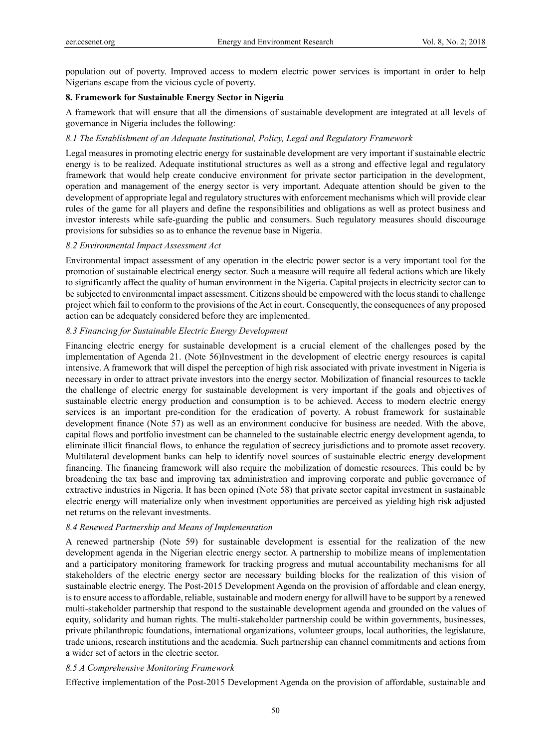population out of poverty. Improved access to modern electric power services is important in order to help Nigerians escape from the vicious cycle of poverty.

#### **8. Framework for Sustainable Energy Sector in Nigeria**

A framework that will ensure that all the dimensions of sustainable development are integrated at all levels of governance in Nigeria includes the following:

#### *8.1 The Establishment of an Adequate Institutional, Policy, Legal and Regulatory Framework*

Legal measures in promoting electric energy for sustainable development are very important if sustainable electric energy is to be realized. Adequate institutional structures as well as a strong and effective legal and regulatory framework that would help create conducive environment for private sector participation in the development, operation and management of the energy sector is very important. Adequate attention should be given to the development of appropriate legal and regulatory structures with enforcement mechanisms which will provide clear rules of the game for all players and define the responsibilities and obligations as well as protect business and investor interests while safe-guarding the public and consumers. Such regulatory measures should discourage provisions for subsidies so as to enhance the revenue base in Nigeria.

#### *8.2 Environmental Impact Assessment Act*

Environmental impact assessment of any operation in the electric power sector is a very important tool for the promotion of sustainable electrical energy sector. Such a measure will require all federal actions which are likely to significantly affect the quality of human environment in the Nigeria. Capital projects in electricity sector can to be subjected to environmental impact assessment. Citizens should be empowered with the locus standi to challenge project which fail to conform to the provisions of the Act in court. Consequently, the consequences of any proposed action can be adequately considered before they are implemented.

#### *8.3 Financing for Sustainable Electric Energy Development*

Financing electric energy for sustainable development is a crucial element of the challenges posed by the implementation of Agenda 21. (Note 56)Investment in the development of electric energy resources is capital intensive. A framework that will dispel the perception of high risk associated with private investment in Nigeria is necessary in order to attract private investors into the energy sector. Mobilization of financial resources to tackle the challenge of electric energy for sustainable development is very important if the goals and objectives of sustainable electric energy production and consumption is to be achieved. Access to modern electric energy services is an important pre-condition for the eradication of poverty. A robust framework for sustainable development finance (Note 57) as well as an environment conducive for business are needed. With the above, capital flows and portfolio investment can be channeled to the sustainable electric energy development agenda, to eliminate illicit financial flows, to enhance the regulation of secrecy jurisdictions and to promote asset recovery. Multilateral development banks can help to identify novel sources of sustainable electric energy development financing. The financing framework will also require the mobilization of domestic resources. This could be by broadening the tax base and improving tax administration and improving corporate and public governance of extractive industries in Nigeria. It has been opined (Note 58) that private sector capital investment in sustainable electric energy will materialize only when investment opportunities are perceived as yielding high risk adjusted net returns on the relevant investments.

#### *8.4 Renewed Partnership and Means of Implementation*

A renewed partnership (Note 59) for sustainable development is essential for the realization of the new development agenda in the Nigerian electric energy sector. A partnership to mobilize means of implementation and a participatory monitoring framework for tracking progress and mutual accountability mechanisms for all stakeholders of the electric energy sector are necessary building blocks for the realization of this vision of sustainable electric energy. The Post-2015 Development Agenda on the provision of affordable and clean energy, is to ensure access to affordable, reliable, sustainable and modern energy for allwill have to be support by a renewed multi-stakeholder partnership that respond to the sustainable development agenda and grounded on the values of equity, solidarity and human rights. The multi-stakeholder partnership could be within governments, businesses, private philanthropic foundations, international organizations, volunteer groups, local authorities, the legislature, trade unions, research institutions and the academia. Such partnership can channel commitments and actions from a wider set of actors in the electric sector.

#### *8.5 A Comprehensive Monitoring Framework*

Effective implementation of the Post-2015 Development Agenda on the provision of affordable, sustainable and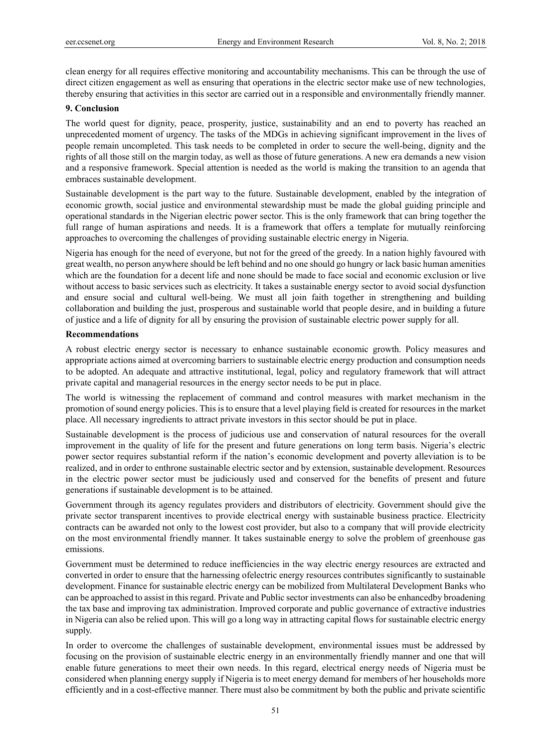clean energy for all requires effective monitoring and accountability mechanisms. This can be through the use of direct citizen engagement as well as ensuring that operations in the electric sector make use of new technologies, thereby ensuring that activities in this sector are carried out in a responsible and environmentally friendly manner.

## **9. Conclusion**

The world quest for dignity, peace, prosperity, justice, sustainability and an end to poverty has reached an unprecedented moment of urgency. The tasks of the MDGs in achieving significant improvement in the lives of people remain uncompleted. This task needs to be completed in order to secure the well-being, dignity and the rights of all those still on the margin today, as well as those of future generations. A new era demands a new vision and a responsive framework. Special attention is needed as the world is making the transition to an agenda that embraces sustainable development.

Sustainable development is the part way to the future. Sustainable development, enabled by the integration of economic growth, social justice and environmental stewardship must be made the global guiding principle and operational standards in the Nigerian electric power sector. This is the only framework that can bring together the full range of human aspirations and needs. It is a framework that offers a template for mutually reinforcing approaches to overcoming the challenges of providing sustainable electric energy in Nigeria.

Nigeria has enough for the need of everyone, but not for the greed of the greedy. In a nation highly favoured with great wealth, no person anywhere should be left behind and no one should go hungry or lack basic human amenities which are the foundation for a decent life and none should be made to face social and economic exclusion or live without access to basic services such as electricity. It takes a sustainable energy sector to avoid social dysfunction and ensure social and cultural well-being. We must all join faith together in strengthening and building collaboration and building the just, prosperous and sustainable world that people desire, and in building a future of justice and a life of dignity for all by ensuring the provision of sustainable electric power supply for all.

#### **Recommendations**

A robust electric energy sector is necessary to enhance sustainable economic growth. Policy measures and appropriate actions aimed at overcoming barriers to sustainable electric energy production and consumption needs to be adopted. An adequate and attractive institutional, legal, policy and regulatory framework that will attract private capital and managerial resources in the energy sector needs to be put in place.

The world is witnessing the replacement of command and control measures with market mechanism in the promotion of sound energy policies. This is to ensure that a level playing field is created for resources in the market place. All necessary ingredients to attract private investors in this sector should be put in place.

Sustainable development is the process of judicious use and conservation of natural resources for the overall improvement in the quality of life for the present and future generations on long term basis. Nigeria's electric power sector requires substantial reform if the nation's economic development and poverty alleviation is to be realized, and in order to enthrone sustainable electric sector and by extension, sustainable development. Resources in the electric power sector must be judiciously used and conserved for the benefits of present and future generations if sustainable development is to be attained.

Government through its agency regulates providers and distributors of electricity. Government should give the private sector transparent incentives to provide electrical energy with sustainable business practice. Electricity contracts can be awarded not only to the lowest cost provider, but also to a company that will provide electricity on the most environmental friendly manner. It takes sustainable energy to solve the problem of greenhouse gas emissions.

Government must be determined to reduce inefficiencies in the way electric energy resources are extracted and converted in order to ensure that the harnessing ofelectric energy resources contributes significantly to sustainable development. Finance for sustainable electric energy can be mobilized from Multilateral Development Banks who can be approached to assist in this regard. Private and Public sector investments can also be enhancedby broadening the tax base and improving tax administration. Improved corporate and public governance of extractive industries in Nigeria can also be relied upon. This will go a long way in attracting capital flows for sustainable electric energy supply.

In order to overcome the challenges of sustainable development, environmental issues must be addressed by focusing on the provision of sustainable electric energy in an environmentally friendly manner and one that will enable future generations to meet their own needs. In this regard, electrical energy needs of Nigeria must be considered when planning energy supply if Nigeria is to meet energy demand for members of her households more efficiently and in a cost-effective manner. There must also be commitment by both the public and private scientific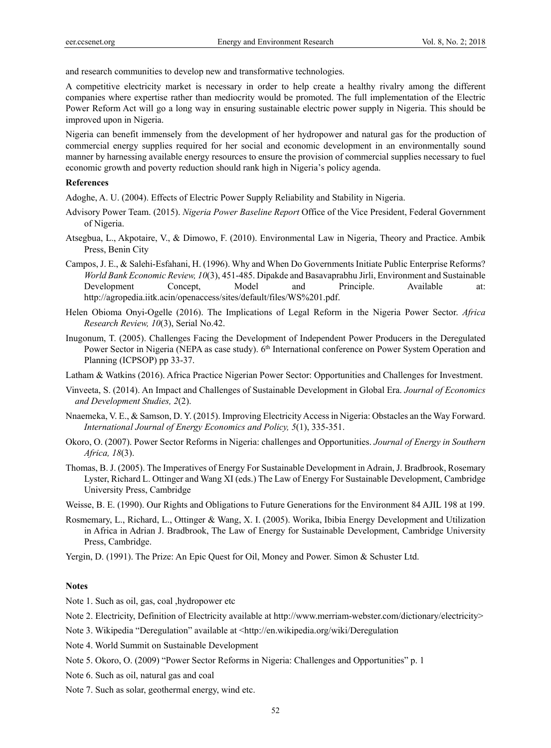and research communities to develop new and transformative technologies.

A competitive electricity market is necessary in order to help create a healthy rivalry among the different companies where expertise rather than mediocrity would be promoted. The full implementation of the Electric Power Reform Act will go a long way in ensuring sustainable electric power supply in Nigeria. This should be improved upon in Nigeria.

Nigeria can benefit immensely from the development of her hydropower and natural gas for the production of commercial energy supplies required for her social and economic development in an environmentally sound manner by harnessing available energy resources to ensure the provision of commercial supplies necessary to fuel economic growth and poverty reduction should rank high in Nigeria's policy agenda.

#### **References**

Adoghe, A. U. (2004). Effects of Electric Power Supply Reliability and Stability in Nigeria.

- Advisory Power Team. (2015). *Nigeria Power Baseline Report* Office of the Vice President, Federal Government of Nigeria.
- Atsegbua, L., Akpotaire, V., & Dimowo, F. (2010). Environmental Law in Nigeria, Theory and Practice. Ambik Press, Benin City
- Campos, J. E., & Salehi-Esfahani, H. (1996). Why and When Do Governments Initiate Public Enterprise Reforms? *World Bank Economic Review, 10*(3), 451-485. Dipakde and Basavaprabhu Jirli, Environment and Sustainable Development Concept, Model and Principle. Available at: http://agropedia.iitk.acin/openaccess/sites/default/files/WS%201.pdf.
- Helen Obioma Onyi-Ogelle (2016). The Implications of Legal Reform in the Nigeria Power Sector. *Africa Research Review, 10*(3), Serial No.42.
- Inugonum, T. (2005). Challenges Facing the Development of Independent Power Producers in the Deregulated Power Sector in Nigeria (NEPA as case study). 6<sup>th</sup> International conference on Power System Operation and Planning (ICPSOP) pp 33-37.
- Latham & Watkins (2016). Africa Practice Nigerian Power Sector: Opportunities and Challenges for Investment.
- Vinveeta, S. (2014). An Impact and Challenges of Sustainable Development in Global Era. *Journal of Economics and Development Studies, 2*(2).
- Nnaemeka, V. E., & Samson, D. Y. (2015). Improving Electricity Access in Nigeria: Obstacles an the Way Forward. *International Journal of Energy Economics and Policy, 5*(1), 335-351.
- Okoro, O. (2007). Power Sector Reforms in Nigeria: challenges and Opportunities. *Journal of Energy in Southern Africa, 18*(3).
- Thomas, B. J. (2005). The Imperatives of Energy For Sustainable Development in Adrain, J. Bradbrook, Rosemary Lyster, Richard L. Ottinger and Wang XI (eds.) The Law of Energy For Sustainable Development, Cambridge University Press, Cambridge
- Weisse, B. E. (1990). Our Rights and Obligations to Future Generations for the Environment 84 AJIL 198 at 199.
- Rosmemary, L., Richard, L., Ottinger & Wang, X. I. (2005). Worika, Ibibia Energy Development and Utilization in Africa in Adrian J. Bradbrook, The Law of Energy for Sustainable Development, Cambridge University Press, Cambridge.
- Yergin, D. (1991). The Prize: An Epic Quest for Oil, Money and Power. Simon & Schuster Ltd.

#### **Notes**

Note 1. Such as oil, gas, coal ,hydropower etc

- Note 2. Electricity, Definition of Electricity available at http://www.merriam-webster.com/dictionary/electricity>
- Note 3. Wikipedia "Deregulation" available at <http://en.wikipedia.org/wiki/Deregulation
- Note 4. World Summit on Sustainable Development
- Note 5. Okoro, O. (2009) "Power Sector Reforms in Nigeria: Challenges and Opportunities" p. 1
- Note 6. Such as oil, natural gas and coal
- Note 7. Such as solar, geothermal energy, wind etc.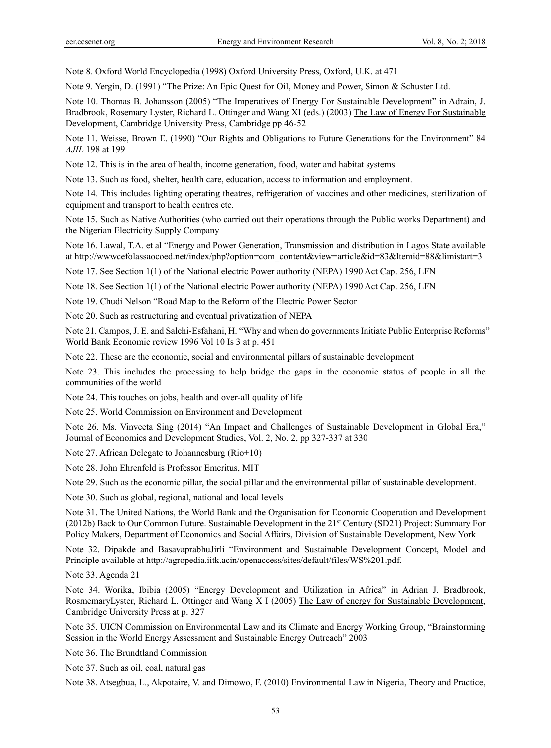Note 8. Oxford World Encyclopedia (1998) Oxford University Press, Oxford, U.K. at 471

Note 9. Yergin, D. (1991) "The Prize: An Epic Quest for Oil, Money and Power, Simon & Schuster Ltd.

Note 10. Thomas B. Johansson (2005) "The Imperatives of Energy For Sustainable Development" in Adrain, J. Bradbrook, Rosemary Lyster, Richard L. Ottinger and Wang XI (eds.) (2003) The Law of Energy For Sustainable Development, Cambridge University Press, Cambridge pp 46-52

Note 11. Weisse, Brown E. (1990) "Our Rights and Obligations to Future Generations for the Environment" 84 *AJIL* 198 at 199

Note 12. This is in the area of health, income generation, food, water and habitat systems

Note 13. Such as food, shelter, health care, education, access to information and employment.

Note 14. This includes lighting operating theatres, refrigeration of vaccines and other medicines, sterilization of equipment and transport to health centres etc.

Note 15. Such as Native Authorities (who carried out their operations through the Public works Department) and the Nigerian Electricity Supply Company

Note 16. Lawal, T.A. et al "Energy and Power Generation, Transmission and distribution in Lagos State available at http://www.cefolassaocoed.net/index/php?option=com\_content&view=article&id=83&ltemid=88&limistart=3

Note 17. See Section 1(1) of the National electric Power authority (NEPA) 1990 Act Cap. 256, LFN

Note 18. See Section 1(1) of the National electric Power authority (NEPA) 1990 Act Cap. 256, LFN

Note 19. Chudi Nelson "Road Map to the Reform of the Electric Power Sector

Note 20. Such as restructuring and eventual privatization of NEPA

Note 21. Campos, J. E. and Salehi-Esfahani, H. "Why and when do governments Initiate Public Enterprise Reforms" World Bank Economic review 1996 Vol 10 Is 3 at p. 451

Note 22. These are the economic, social and environmental pillars of sustainable development

Note 23. This includes the processing to help bridge the gaps in the economic status of people in all the communities of the world

Note 24. This touches on jobs, health and over-all quality of life

Note 25. World Commission on Environment and Development

Note 26. Ms. Vinveeta Sing (2014) "An Impact and Challenges of Sustainable Development in Global Era," Journal of Economics and Development Studies, Vol. 2, No. 2, pp 327-337 at 330

Note 27. African Delegate to Johannesburg (Rio+10)

Note 28. John Ehrenfeld is Professor Emeritus, MIT

Note 29. Such as the economic pillar, the social pillar and the environmental pillar of sustainable development.

Note 30. Such as global, regional, national and local levels

Note 31. The United Nations, the World Bank and the Organisation for Economic Cooperation and Development (2012b) Back to Our Common Future. Sustainable Development in the 21st Century (SD21) Project: Summary For Policy Makers, Department of Economics and Social Affairs, Division of Sustainable Development, New York

Note 32. Dipakde and BasavaprabhuJirli "Environment and Sustainable Development Concept, Model and Principle available at http://agropedia.iitk.acin/openaccess/sites/default/files/WS%201.pdf.

Note 33. Agenda 21

Note 34. Worika, Ibibia (2005) "Energy Development and Utilization in Africa" in Adrian J. Bradbrook, RosmemaryLyster, Richard L. Ottinger and Wang X I (2005) The Law of energy for Sustainable Development, Cambridge University Press at p. 327

Note 35. UICN Commission on Environmental Law and its Climate and Energy Working Group, "Brainstorming Session in the World Energy Assessment and Sustainable Energy Outreach" 2003

Note 36. The Brundtland Commission

Note 37. Such as oil, coal, natural gas

Note 38. Atsegbua, L., Akpotaire, V. and Dimowo, F. (2010) Environmental Law in Nigeria, Theory and Practice,